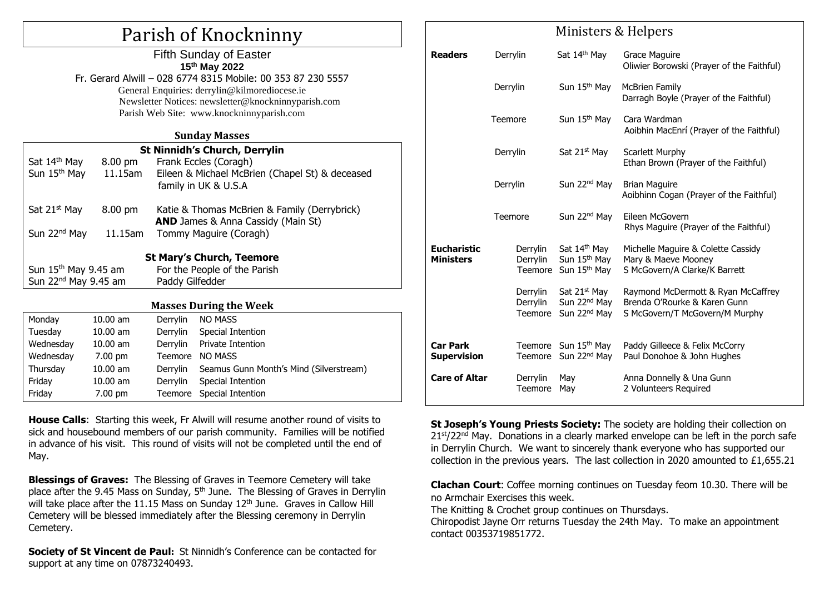# Parish of Knockninny

|                                                                  |                   | <b>Fifth Sunday of Easter</b><br>15th May 2022<br>Fr. Gerard Alwill - 028 6774 8315 Mobile: 00 353 87 230 5557<br>General Enquiries: derrylin@kilmorediocese.ie |  |  |  |  |  |
|------------------------------------------------------------------|-------------------|-----------------------------------------------------------------------------------------------------------------------------------------------------------------|--|--|--|--|--|
|                                                                  |                   | Newsletter Notices: newsletter@knockninnyparish.com<br>Parish Web Site: www.knockninnyparish.com                                                                |  |  |  |  |  |
| <b>Sunday Masses</b>                                             |                   |                                                                                                                                                                 |  |  |  |  |  |
|                                                                  |                   | <b>St Ninnidh's Church, Derrylin</b>                                                                                                                            |  |  |  |  |  |
| Sat 14 <sup>th</sup> May                                         | $8.00 \text{ pm}$ | Frank Eccles (Coragh)                                                                                                                                           |  |  |  |  |  |
| Sun 15 <sup>th</sup> May                                         | 11.15am           | Eileen & Michael McBrien (Chapel St) & deceased                                                                                                                 |  |  |  |  |  |
|                                                                  |                   | family in UK & U.S.A                                                                                                                                            |  |  |  |  |  |
| Sat 21 <sup>st</sup> May                                         | 8.00 pm           | Katie & Thomas McBrien & Family (Derrybrick)                                                                                                                    |  |  |  |  |  |
|                                                                  |                   | <b>AND</b> James & Anna Cassidy (Main St)                                                                                                                       |  |  |  |  |  |
| Sun 22 <sup>nd</sup> May                                         | 11.15am           | Tommy Maguire (Coragh)                                                                                                                                          |  |  |  |  |  |
|                                                                  |                   | <b>St Mary's Church, Teemore</b>                                                                                                                                |  |  |  |  |  |
| Sun 15 <sup>th</sup> May 9.45 am<br>For the People of the Parish |                   |                                                                                                                                                                 |  |  |  |  |  |
| Sun 22 <sup>nd</sup> May 9.45 am                                 |                   | Paddy Gilfedder                                                                                                                                                 |  |  |  |  |  |
|                                                                  |                   |                                                                                                                                                                 |  |  |  |  |  |
|                                                                  |                   | <b>Masses During the Week</b>                                                                                                                                   |  |  |  |  |  |
| Monday                                                           | $10.00$ am        | <b>NO MASS</b><br>Derrylin                                                                                                                                      |  |  |  |  |  |
|                                                                  |                   |                                                                                                                                                                 |  |  |  |  |  |

| Monday    | $10.00$ am        | Derrylin        | <b>NO MASS</b>                          |
|-----------|-------------------|-----------------|-----------------------------------------|
| Tuesday   | $10.00$ am        | <b>Derrylin</b> | Special Intention                       |
| Wednesday | $10.00$ am        | Derrylin        | Private Intention                       |
| Wednesday | $7.00 \text{ pm}$ | Teemore         | NO MASS                                 |
| Thursday  | $10.00$ am        | Derrylin        | Seamus Gunn Month's Mind (Silverstream) |
| Friday    | $10.00$ am        | Derrylin        | Special Intention                       |
| Friday    | $7.00 \text{ pm}$ |                 | Teemore Special Intention               |

**House Calls**: Starting this week, Fr Alwill will resume another round of visits to sick and housebound members of our parish community. Families will be notified in advance of his visit. This round of visits will not be completed until the end of May.

**Blessings of Graves:** The Blessing of Graves in Teemore Cemetery will take place after the 9.45 Mass on Sunday, 5<sup>th</sup> June. The Blessing of Graves in Derrylin will take place after the 11.15 Mass on Sunday  $12<sup>th</sup>$  June. Graves in Callow Hill Cemetery will be blessed immediately after the Blessing ceremony in Derrylin Cemetery.

**Society of St Vincent de Paul:** St Ninnidh's Conference can be contacted for support at any time on 07873240493.

|                                        | Ministers & Helpers             |                                                                                  |                                                                                                      |  |  |  |
|----------------------------------------|---------------------------------|----------------------------------------------------------------------------------|------------------------------------------------------------------------------------------------------|--|--|--|
| <b>Readers</b>                         | Derrylin                        | Sat 14th May                                                                     | Grace Maguire<br>Oliwier Borowski (Prayer of the Faithful)                                           |  |  |  |
|                                        | Derrylin                        | Sun 15 <sup>th</sup> May                                                         | <b>McBrien Family</b><br>Darragh Boyle (Prayer of the Faithful)                                      |  |  |  |
|                                        | Teemore                         | Sun 15 <sup>th</sup> May                                                         | Cara Wardman<br>Aoibhin MacEnrí (Prayer of the Faithful)                                             |  |  |  |
|                                        | Derrylin                        | Sat 21 <sup>st</sup> May                                                         | <b>Scarlett Murphy</b><br>Ethan Brown (Prayer of the Faithful)                                       |  |  |  |
|                                        | Derrylin                        | Sun 22 <sup>nd</sup> May                                                         | <b>Brian Maguire</b><br>Aoibhinn Cogan (Prayer of the Faithful)                                      |  |  |  |
|                                        | Teemore                         | Sun 22 <sup>nd</sup> May                                                         | Eileen McGovern<br>Rhys Maguire (Prayer of the Faithful)                                             |  |  |  |
| <b>Eucharistic</b><br><b>Ministers</b> | Derrylin<br>Derrylin<br>Teemore | Sat 14 <sup>th</sup> May<br>Sun 15 <sup>th</sup> May<br>Sun 15 <sup>th</sup> May | Michelle Maguire & Colette Cassidy<br>Mary & Maeve Mooney<br>S McGovern/A Clarke/K Barrett           |  |  |  |
|                                        | Derrylin<br>Derrylin<br>Teemore | Sat 21 <sup>st</sup> May<br>Sun 22 <sup>nd</sup> May<br>Sun 22 <sup>nd</sup> May | Raymond McDermott & Ryan McCaffrey<br>Brenda O'Rourke & Karen Gunn<br>S McGovern/T McGovern/M Murphy |  |  |  |
| <b>Car Park</b><br><b>Supervision</b>  | Teemore                         | Teemore Sun 15 <sup>th</sup> May<br>Sun 22 <sup>nd</sup> May                     | Paddy Gilleece & Felix McCorry<br>Paul Donohoe & John Hughes                                         |  |  |  |
| <b>Care of Altar</b>                   | Derrylin<br><b>Teemore</b>      | May<br>May                                                                       | Anna Donnelly & Una Gunn<br>2 Volunteers Required                                                    |  |  |  |

**St Joseph's Young Priests Society:** The society are holding their collection on  $21<sup>st</sup>/22<sup>nd</sup>$  May. Donations in a clearly marked envelope can be left in the porch safe in Derrylin Church. We want to sincerely thank everyone who has supported our collection in the previous years. The last collection in 2020 amounted to £1,655.21

**Clachan Court**: Coffee morning continues on Tuesday feom 10.30. There will be no Armchair Exercises this week.

The Knitting & Crochet group continues on Thursdays.

Chiropodist Jayne Orr returns Tuesday the 24th May. To make an appointment contact 00353719851772.